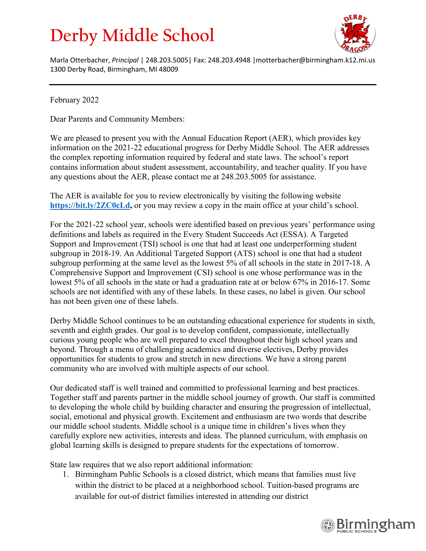## **Derby Middle School**



Marla Otterbacher, *Principal* | 248.203.5005| Fax: 248.203.4948 |motterbacher@birmingham.k12.mi.us 1300 Derby Road, Birmingham, MI 48009

February 2022

Dear Parents and Community Members:

We are pleased to present you with the Annual Education Report (AER), which provides key information on the 2021-22 educational progress for Derby Middle School. The AER addresses the complex reporting information required by federal and state laws. The school's report contains information about student assessment, accountability, and teacher quality. If you have any questions about the AER, please contact me at 248.203.5005 for assistance.

The AER is available for you to review electronically by visiting the following website https://bit.ly/2**ZC0cLd**, or you may review a copy in the main office at your child's school.

For the 2021-22 school year, schools were identified based on previous years' performance using definitions and labels as required in the Every Student Succeeds Act (ESSA). A Targeted Support and Improvement (TSI) school is one that had at least one underperforming student subgroup in 2018-19. An Additional Targeted Support (ATS) school is one that had a student subgroup performing at the same level as the lowest 5% of all schools in the state in 2017-18. A Comprehensive Support and Improvement (CSI) school is one whose performance was in the lowest 5% of all schools in the state or had a graduation rate at or below 67% in 2016-17. Some schools are not identified with any of these labels. In these cases, no label is given. Our school has not been given one of these labels.

Derby Middle School continues to be an outstanding educational experience for students in sixth, seventh and eighth grades. Our goal is to develop confident, compassionate, intellectually curious young people who are well prepared to excel throughout their high school years and beyond. Through a menu of challenging academics and diverse electives, Derby provides opportunities for students to grow and stretch in new directions. We have a strong parent community who are involved with multiple aspects of our school.

Our dedicated staff is well trained and committed to professional learning and best practices. Together staff and parents partner in the middle school journey of growth. Our staff is committed to developing the whole child by building character and ensuring the progression of intellectual, social, emotional and physical growth. Excitement and enthusiasm are two words that describe our middle school students. Middle school is a unique time in children's lives when they carefully explore new activities, interests and ideas. The planned curriculum, with emphasis on global learning skills is designed to prepare students for the expectations of tomorrow.

State law requires that we also report additional information:

1. Birmingham Public Schools is a closed district, which means that families must live within the district to be placed at a neighborhood school. Tuition-based programs are available for out-of district families interested in attending our district

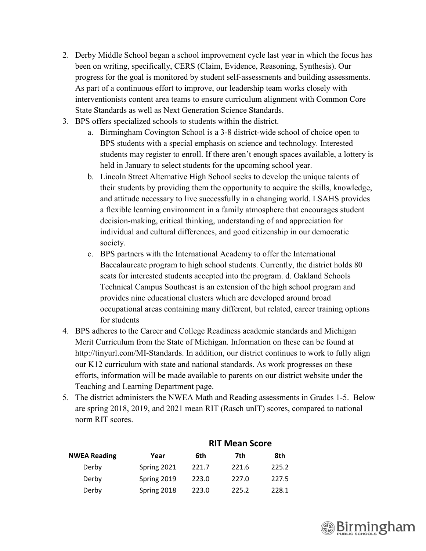- 2. Derby Middle School began a school improvement cycle last year in which the focus has been on writing, specifically, CERS (Claim, Evidence, Reasoning, Synthesis). Our progress for the goal is monitored by student self-assessments and building assessments. As part of a continuous effort to improve, our leadership team works closely with interventionists content area teams to ensure curriculum alignment with Common Core State Standards as well as Next Generation Science Standards.
- 3. BPS offers specialized schools to students within the district.
	- a. Birmingham Covington School is a 3-8 district-wide school of choice open to BPS students with a special emphasis on science and technology. Interested students may register to enroll. If there aren't enough spaces available, a lottery is held in January to select students for the upcoming school year.
	- b. Lincoln Street Alternative High School seeks to develop the unique talents of their students by providing them the opportunity to acquire the skills, knowledge, and attitude necessary to live successfully in a changing world. LSAHS provides a flexible learning environment in a family atmosphere that encourages student decision-making, critical thinking, understanding of and appreciation for individual and cultural differences, and good citizenship in our democratic society.
	- c. BPS partners with the International Academy to offer the International Baccalaureate program to high school students. Currently, the district holds 80 seats for interested students accepted into the program. d. Oakland Schools Technical Campus Southeast is an extension of the high school program and provides nine educational clusters which are developed around broad occupational areas containing many different, but related, career training options for students
- 4. BPS adheres to the Career and College Readiness academic standards and Michigan Merit Curriculum from the State of Michigan. Information on these can be found at http://tinyurl.com/MI-Standards. In addition, our district continues to work to fully align our K12 curriculum with state and national standards. As work progresses on these efforts, information will be made available to parents on our district website under the Teaching and Learning Department page.
- 5. The district administers the NWEA Math and Reading assessments in Grades 1-5. Below are spring 2018, 2019, and 2021 mean RIT (Rasch unIT) scores, compared to national norm RIT scores.

|             | KIT Mean Score |       |       |
|-------------|----------------|-------|-------|
| Year        | 6th            | 7th   | 8th   |
| Spring 2021 | 221.7          | 221.6 | 225.2 |
| Spring 2019 | 223.0          | 227.0 | 227.5 |
| Spring 2018 | 223.0          | 225.2 | 228.1 |
|             |                |       |       |

## **RIT Mean Score**